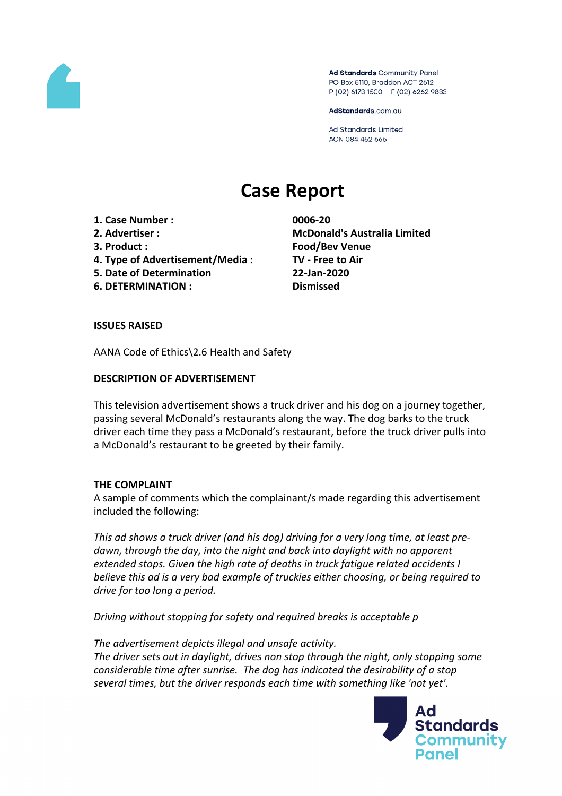

Ad Standards Community Panel PO Box 5110, Braddon ACT 2612 P (02) 6173 1500 | F (02) 6262 9833

AdStandards.com.au

**Ad Standards Limited** ACN 084 452 666

# **Case Report**

- **1. Case Number : 0006-20**
- 
- 
- **4. Type of Advertisement/Media : TV - Free to Air**
- **5. Date of Determination 22-Jan-2020**
- **6. DETERMINATION : Dismissed**

**2. Advertiser : McDonald's Australia Limited 3. Product : Food/Bev Venue**

# **ISSUES RAISED**

AANA Code of Ethics\2.6 Health and Safety

# **DESCRIPTION OF ADVERTISEMENT**

This television advertisement shows a truck driver and his dog on a journey together, passing several McDonald's restaurants along the way. The dog barks to the truck driver each time they pass a McDonald's restaurant, before the truck driver pulls into a McDonald's restaurant to be greeted by their family.

### **THE COMPLAINT**

A sample of comments which the complainant/s made regarding this advertisement included the following:

*This ad shows a truck driver (and his dog) driving for a very long time, at least predawn, through the day, into the night and back into daylight with no apparent extended stops. Given the high rate of deaths in truck fatigue related accidents I believe this ad is a very bad example of truckies either choosing, or being required to drive for too long a period.*

*Driving without stopping for safety and required breaks is acceptable p*

*The advertisement depicts illegal and unsafe activity. The driver sets out in daylight, drives non stop through the night, only stopping some considerable time after sunrise. The dog has indicated the desirability of a stop several times, but the driver responds each time with something like 'not yet'.*

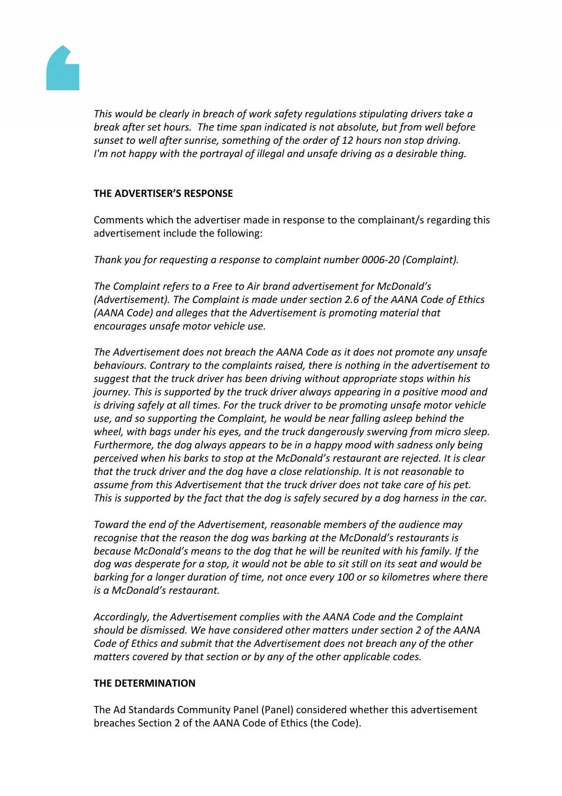

*This would be clearly in breach of work safety regulations stipulating drivers take a break after set hours. The time span indicated is not absolute, but from well before sunset to well after sunrise, something of the order of 12 hours non stop driving. I'm not happy with the portrayal of illegal and unsafe driving as a desirable thing.*

# **THE ADVERTISER'S RESPONSE**

Comments which the advertiser made in response to the complainant/s regarding this advertisement include the following:

*Thank you for requesting a response to complaint number 0006-20 (Complaint).*

*The Complaint refers to a Free to Air brand advertisement for McDonald's (Advertisement). The Complaint is made under section 2.6 of the AANA Code of Ethics (AANA Code) and alleges that the Advertisement is promoting material that encourages unsafe motor vehicle use.*

*The Advertisement does not breach the AANA Code as it does not promote any unsafe behaviours. Contrary to the complaints raised, there is nothing in the advertisement to suggest that the truck driver has been driving without appropriate stops within his journey. This is supported by the truck driver always appearing in a positive mood and is driving safely at all times. For the truck driver to be promoting unsafe motor vehicle use, and so supporting the Complaint, he would be near falling asleep behind the wheel, with bags under his eyes, and the truck dangerously swerving from micro sleep. Furthermore, the dog always appears to be in a happy mood with sadness only being perceived when his barks to stop at the McDonald's restaurant are rejected. It is clear that the truck driver and the dog have a close relationship. It is not reasonable to assume from this Advertisement that the truck driver does not take care of his pet. This is supported by the fact that the dog is safely secured by a dog harness in the car.*

*Toward the end of the Advertisement, reasonable members of the audience may recognise that the reason the dog was barking at the McDonald's restaurants is because McDonald's means to the dog that he will be reunited with his family. If the* dog was desperate for a stop, it would not be able to sit still on its seat and would be *barking for a longer duration of time, not once every 100 or so kilometres where there is a McDonald's restaurant.*

*Accordingly, the Advertisement complies with the AANA Code and the Complaint should be dismissed. We have considered other matters under section 2 of the AANA Code of Ethics and submit that the Advertisement does not breach any of the other matters covered by that section or by any of the other applicable codes.*

### **THE DETERMINATION**

The Ad Standards Community Panel (Panel) considered whether this advertisement breaches Section 2 of the AANA Code of Ethics (the Code).